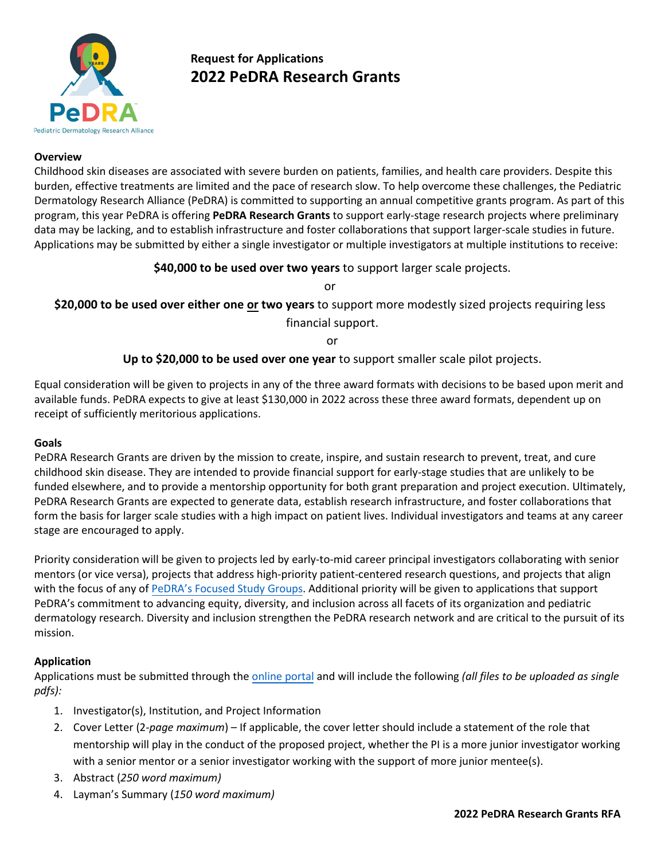

# **Request for Applications 2022 PeDRA Research Grants**

#### **Overview**

Childhood skin diseases are associated with severe burden on patients, families, and health care providers. Despite this burden, effective treatments are limited and the pace of research slow. To help overcome these challenges, the Pediatric Dermatology Research Alliance (PeDRA) is committed to supporting an annual competitive grants program. As part of this program, this year PeDRA is offering **PeDRA Research Grants** to support early-stage research projects where preliminary data may be lacking, and to establish infrastructure and foster collaborations that support larger-scale studies in future. Applications may be submitted by either a single investigator or multiple investigators at multiple institutions to receive:

## **\$40,000 to be used over two years** to support larger scale projects.

or

**\$20,000 to be used over either one or two years** to support more modestly sized projects requiring less financial support.

or

# **Up to \$20,000 to be used over one year** to support smaller scale pilot projects.

Equal consideration will be given to projects in any of the three award formats with decisions to be based upon merit and available funds. PeDRA expects to give at least \$130,000 in 2022 across these three award formats, dependent up on receipt of sufficiently meritorious applications.

#### **Goals**

PeDRA Research Grants are driven by the mission to create, inspire, and sustain research to prevent, treat, and cure childhood skin disease. They are intended to provide financial support for early-stage studies that are unlikely to be funded elsewhere, and to provide a mentorship opportunity for both grant preparation and project execution. Ultimately, PeDRA Research Grants are expected to generate data, establish research infrastructure, and foster collaborations that form the basis for larger scale studies with a high impact on patient lives. Individual investigators and teams at any career stage are encouraged to apply.

Priority consideration will be given to projects led by early-to-mid career principal investigators collaborating with senior mentors (or vice versa), projects that address high-priority patient-centered research questions, and projects that align with the focus of any of PeDRA's [Focused Study Groups.](https://pedraresearch.org/research-work-areas/) Additional priority will be given to applications that support PeDRA's commitment to advancing equity, diversity, and inclusion across all facets of its organization and pediatric dermatology research. Diversity and inclusion strengthen the PeDRA research network and are critical to the pursuit of its mission.

#### **Application**

Applications must be submitted through the [online portal](https://webportalapp.com/appform/login/2022_research_grant) and will include the following *(all files to be uploaded as single pdfs):*

- 1. Investigator(s), Institution, and Project Information
- 2. Cover Letter (2*-page maximum*) If applicable, the cover letter should include a statement of the role that mentorship will play in the conduct of the proposed project, whether the PI is a more junior investigator working with a senior mentor or a senior investigator working with the support of more junior mentee(s).
- 3. Abstract (*250 word maximum)*
- 4. Layman's Summary (*150 word maximum)*